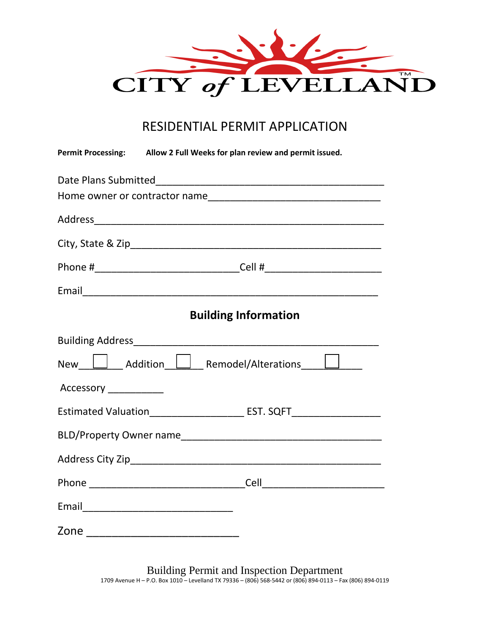

## RESIDENTIAL PERMIT APPLICATION

|                        | Permit Processing: Allow 2 Full Weeks for plan review and permit issued.         |
|------------------------|----------------------------------------------------------------------------------|
|                        |                                                                                  |
|                        |                                                                                  |
|                        |                                                                                  |
|                        |                                                                                  |
|                        |                                                                                  |
|                        |                                                                                  |
|                        | <b>Building Information</b>                                                      |
|                        |                                                                                  |
|                        | New   Addition   Remodel/Alterations                                             |
| Accessory ____________ |                                                                                  |
|                        | Estimated Valuation____________________________ EST. SQFT_______________________ |
|                        |                                                                                  |
|                        |                                                                                  |
|                        |                                                                                  |
|                        |                                                                                  |
|                        |                                                                                  |

Building Permit and Inspection Department 1709 Avenue H – P.O. Box 1010 – Levelland TX 79336 – (806) 568-5442 or (806) 894-0113 – Fax (806) 894-0119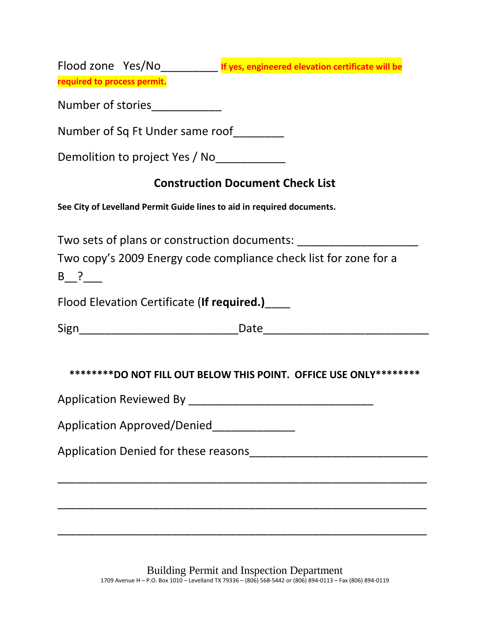|                                                                        | Flood zone Yes/No___________ If yes, engineered elevation certificate will be |
|------------------------------------------------------------------------|-------------------------------------------------------------------------------|
| required to process permit.                                            |                                                                               |
| Number of stories___________                                           |                                                                               |
| Number of Sq Ft Under same roof                                        |                                                                               |
| Demolition to project Yes / No____________                             |                                                                               |
|                                                                        | <b>Construction Document Check List</b>                                       |
| See City of Levelland Permit Guide lines to aid in required documents. |                                                                               |
| Two sets of plans or construction documents:                           |                                                                               |
| B ?                                                                    | Two copy's 2009 Energy code compliance check list for zone for a              |
| Flood Elevation Certificate (If required.)                             |                                                                               |
|                                                                        |                                                                               |
|                                                                        | *********DO NOT FILL OUT BELOW THIS POINT. OFFICE USE ONLY*********           |
|                                                                        |                                                                               |
| Application Approved/Denied______________                              |                                                                               |
|                                                                        |                                                                               |
|                                                                        |                                                                               |
|                                                                        |                                                                               |
|                                                                        |                                                                               |

Building Permit and Inspection Department 1709 Avenue H – P.O. Box 1010 – Levelland TX 79336 – (806) 568-5442 or (806) 894-0113 – Fax (806) 894-0119